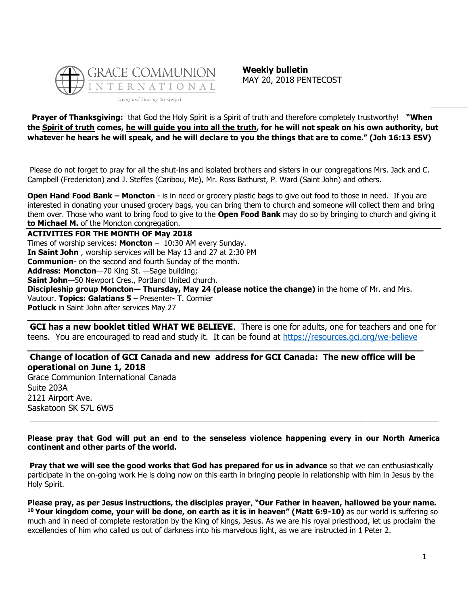

**Weekly bulletin** MAY 20, 2018 PENTECOST

**Prayer of Thanksgiving:** that God the Holy Spirit is a Spirit of truth and therefore completely trustworthy! **"When the Spirit of truth comes, he will guide you into all the truth, for he will not speak on his own authority, but whatever he hears he will speak, and he will declare to you the things that are to come." (Joh 16:13 ESV)**

Please do not forget to pray for all the shut-ins and isolated brothers and sisters in our congregations Mrs. Jack and C. Campbell (Fredericton) and J. Steffes (Caribou, Me), Mr. Ross Bathurst, P. Ward (Saint John) and others.

**Open Hand Food Bank – Moncton** - is in need or grocery plastic bags to give out food to those in need. If you are interested in donating your unused grocery bags, you can bring them to church and someone will collect them and bring them over. Those who want to bring food to give to the **Open Food Bank** may do so by bringing to church and giving it **to Michael M.** of the Moncton congregation.

**ACTIVITIES FOR THE MONTH OF May 2018**

Times of worship services: **Moncton** – 10:30 AM every Sunday. **In Saint John** , worship services will be May 13 and 27 at 2:30 PM **Communion**- on the second and fourth Sunday of the month. **Address: Moncton**—70 King St. —Sage building; **Saint John**—50 Newport Cres., Portland United church. **Discipleship group Moncton— Thursday, May 24 (please notice the change)** in the home of Mr. and Mrs. Vautour. **Topics: Galatians 5** – Presenter- T. Cormier **Potluck** in Saint John after services May 27

**GCI has a new booklet titled WHAT WE BELIEVE**. There is one for adults, one for teachers and one for teens. You are encouraged to read and study it. It can be found at<https://resources.gci.org/we-believe>

**\_\_\_\_\_\_\_\_\_\_\_\_\_\_\_\_\_\_\_\_\_\_\_\_\_\_\_\_\_\_\_\_\_\_\_\_\_\_\_\_\_\_\_\_\_\_\_\_\_\_\_\_\_\_\_\_\_\_\_\_\_\_\_\_\_\_\_\_\_\_\_\_\_\_\_\_\_\_\_\_\_**

# **Change of location of GCI Canada and new address for GCI Canada: The new office will be operational on June 1, 2018**

**\_\_\_\_\_\_\_\_\_\_\_\_\_\_\_\_\_\_\_\_\_\_\_\_\_\_\_\_\_\_\_\_\_\_\_\_\_\_\_\_\_\_\_\_\_\_\_\_\_\_\_\_\_\_\_\_\_\_\_\_\_\_\_\_\_\_\_\_\_\_\_\_\_\_**

Grace Communion International Canada Suite 203A 2121 Airport Ave. Saskatoon SK S7L 6W5

**Please pray that God will put an end to the senseless violence happening every in our North America continent and other parts of the world.** 

 $\_$  ,  $\_$  ,  $\_$  ,  $\_$  ,  $\_$  ,  $\_$  ,  $\_$  ,  $\_$  ,  $\_$  ,  $\_$  ,  $\_$  ,  $\_$  ,  $\_$  ,  $\_$  ,  $\_$  ,  $\_$  ,  $\_$  ,  $\_$  ,  $\_$  ,  $\_$  ,  $\_$  ,  $\_$  ,  $\_$  ,  $\_$  ,  $\_$  ,  $\_$  ,  $\_$  ,  $\_$  ,  $\_$  ,  $\_$  ,  $\_$  ,  $\_$  ,  $\_$  ,  $\_$  ,  $\_$  ,  $\_$  ,  $\_$  ,

**Pray that we will see the good works that God has prepared for us in advance** so that we can enthusiastically participate in the on-going work He is doing now on this earth in bringing people in relationship with him in Jesus by the Holy Spirit.

**Please pray, as per Jesus instructions, the disciples prayer**, **"Our Father in heaven, hallowed be your name. <sup>10</sup> Your kingdom come, your will be done, on earth as it is in heaven" (Matt 6:9-10)** as our world is suffering so much and in need of complete restoration by the King of kings, Jesus. As we are his royal priesthood, let us proclaim the excellencies of him who called us out of darkness into his marvelous light, as we are instructed in 1 Peter 2.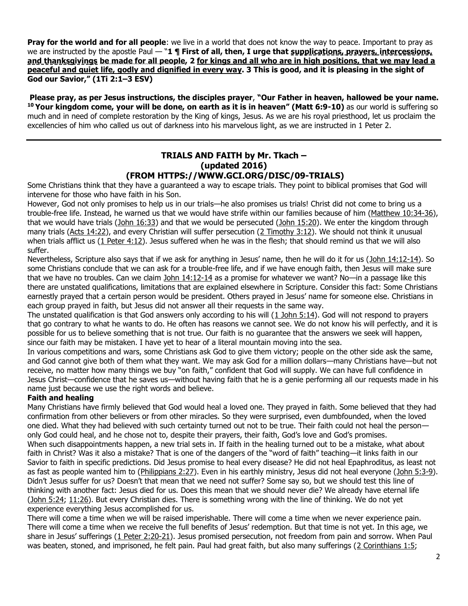**Pray for the world and for all people**: we live in a world that does not know the way to peace. Important to pray as we are instructed by the apostle Paul — "**1 ¶ First of all, then, I urge that supplications, prayers, intercessions, and thanksgivings be made for all people, 2 for kings and all who are in high positions, that we may lead a peaceful and quiet life, godly and dignified in every way. 3 This is good, and it is pleasing in the sight of God our Savior," (1Ti 2:1–3 ESV)**

**Please pray, as per Jesus instructions, the disciples prayer**, **"Our Father in heaven, hallowed be your name. <sup>10</sup> Your kingdom come, your will be done, on earth as it is in heaven" (Matt 6:9-10)** as our world is suffering so much and in need of complete restoration by the King of kings, Jesus. As we are his royal priesthood, let us proclaim the excellencies of him who called us out of darkness into his marvelous light, as we are instructed in 1 Peter 2.

### **TRIALS AND FAITH by Mr. Tkach – (updated 2016) (FROM HTTPS://WWW.GCI.ORG/DISC/09-TRIALS)**

Some Christians think that they have a guaranteed a way to escape trials. They point to biblical promises that God will intervene for those who have faith in his Son.

However, God not only promises to help us in our trials—he also promises us trials! Christ did not come to bring us a trouble-free life. Instead, he warned us that we would have strife within our families because of him [\(Matthew 10:34-36\)](https://biblia.com/bible/niv/Matt%2010.34-36), that we would have trials [\(John 16:33\)](https://biblia.com/bible/niv/John%2016.33) and that we would be persecuted [\(John 15:20\)](https://biblia.com/bible/niv/John%2015.20). We enter the kingdom through many trials [\(Acts 14:22\)](https://biblia.com/bible/niv/Acts%2014.22), and every Christian will suffer persecution [\(2 Timothy 3:12\)](https://biblia.com/bible/niv/2%20Tim%203.12). We should not think it unusual when trials afflict us [\(1 Peter 4:12\)](https://biblia.com/bible/niv/1%20Pet%204.12). Jesus suffered when he was in the flesh; that should remind us that we will also suffer.

Nevertheless, Scripture also says that if we ask for anything in Jesus' name, then he will do it for us ([John 14:12-14\)](https://biblia.com/bible/niv/John%2014.12-14). So some Christians conclude that we can ask for a trouble-free life, and if we have enough faith, then Jesus will make sure that we have no troubles. Can we claim [John 14:12-14](https://biblia.com/bible/niv/John%2014.12-14) as a promise for whatever we want? No—in a passage like this there are unstated qualifications, limitations that are explained elsewhere in Scripture. Consider this fact: Some Christians earnestly prayed that a certain person would be president. Others prayed in Jesus' name for someone else. Christians in each group prayed in faith, but Jesus did not answer all their requests in the same way.

The unstated qualification is that God answers only according to his will [\(1 John 5:14\)](https://biblia.com/bible/niv/1%20John%205.14). God will not respond to prayers that go contrary to what he wants to do. He often has reasons we cannot see. We do not know his will perfectly, and it is possible for us to believe something that is not true. Our faith is no guarantee that the answers we seek will happen, since our faith may be mistaken. I have yet to hear of a literal mountain moving into the sea.

In various competitions and wars, some Christians ask God to give them victory; people on the other side ask the same, and God cannot give both of them what they want. We may ask God for a million dollars—many Christians have—but not receive, no matter how many things we buy "on faith," confident that God will supply. We can have full confidence in Jesus Christ—confidence that he saves us—without having faith that he is a genie performing all our requests made in his name just because we use the right words and believe.

# **Faith and healing**

Many Christians have firmly believed that God would heal a loved one. They prayed in faith. Some believed that they had confirmation from other believers or from other miracles. So they were surprised, even dumbfounded, when the loved one died. What they had believed with such certainty turned out not to be true. Their faith could not heal the person only God could heal, and he chose not to, despite their prayers, their faith, God's love and God's promises. When such disappointments happen, a new trial sets in. If faith in the healing turned out to be a mistake, what about faith in Christ? Was it also a mistake? That is one of the dangers of the "word of faith" teaching—it links faith in our Savior to faith in specific predictions. Did Jesus promise to heal every disease? He did not heal Epaphroditus, as least not as fast as people wanted him to [\(Philippians 2:27\)](https://biblia.com/bible/niv/Phil%202.27). Even in his earthly ministry, Jesus did not heal everyone [\(John 5:3-9\)](https://biblia.com/bible/niv/John%205.3-9). Didn't Jesus suffer for us? Doesn't that mean that we need not suffer? Some say so, but we should test this line of thinking with another fact: Jesus died for us. Does this mean that we should never die? We already have eternal life [\(John 5:24;](https://biblia.com/bible/niv/John%205.24) [11:26\)](https://biblia.com/bible/niv/John%2011.26). But every Christian dies. There is something wrong with the line of thinking. We do not yet experience everything Jesus accomplished for us.

There will come a time when we will be raised imperishable. There will come a time when we never experience pain. There will come a time when we receive the full benefits of Jesus' redemption. But that time is not yet. In this age, we share in Jesus' sufferings ([1 Peter 2:20-21\)](https://biblia.com/bible/niv/1%20Pet%202.20-21). Jesus promised persecution, not freedom from pain and sorrow. When Paul was beaten, stoned, and imprisoned, he felt pain. Paul had great faith, but also many sufferings [\(2 Corinthians 1:5;](https://biblia.com/bible/niv/2%20Cor%201.5)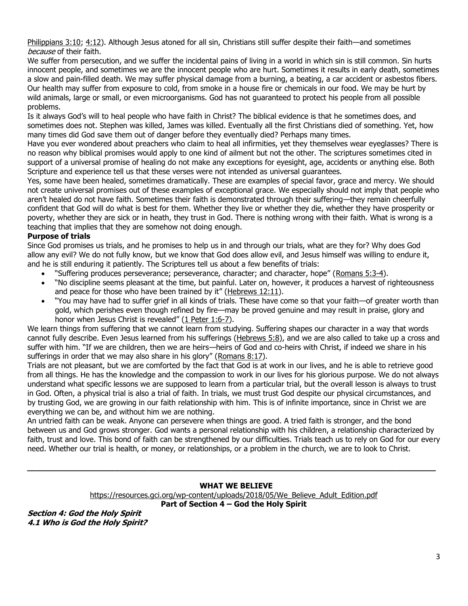[Philippians 3:10;](https://biblia.com/bible/niv/Phil%203.10) [4:12\)](https://biblia.com/bible/niv/Philippians%204.12). Although Jesus atoned for all sin, Christians still suffer despite their faith—and sometimes because of their faith.

We suffer from persecution, and we suffer the incidental pains of living in a world in which sin is still common. Sin hurts innocent people, and sometimes we are the innocent people who are hurt. Sometimes it results in early death, sometimes a slow and pain-filled death. We may suffer physical damage from a burning, a beating, a car accident or asbestos fibers. Our health may suffer from exposure to cold, from smoke in a house fire or chemicals in our food. We may be hurt by wild animals, large or small, or even microorganisms. God has not guaranteed to protect his people from all possible problems.

Is it always God's will to heal people who have faith in Christ? The biblical evidence is that he sometimes does, and sometimes does not. Stephen was killed, James was killed. Eventually all the first Christians died of something. Yet, how many times did God save them out of danger before they eventually died? Perhaps many times.

Have you ever wondered about preachers who claim to heal all infirmities, yet they themselves wear eyeglasses? There is no reason why biblical promises would apply to one kind of ailment but not the other. The scriptures sometimes cited in support of a universal promise of healing do not make any exceptions for eyesight, age, accidents or anything else. Both Scripture and experience tell us that these verses were not intended as universal guarantees.

Yes, some have been healed, sometimes dramatically. These are examples of special favor, grace and mercy. We should not create universal promises out of these examples of exceptional grace. We especially should not imply that people who aren't healed do not have faith. Sometimes their faith is demonstrated through their suffering—they remain cheerfully confident that God will do what is best for them. Whether they live or whether they die, whether they have prosperity or poverty, whether they are sick or in heath, they trust in God. There is nothing wrong with their faith. What is wrong is a teaching that implies that they are somehow not doing enough.

# **Purpose of trials**

Since God promises us trials, and he promises to help us in and through our trials, what are they for? Why does God allow any evil? We do not fully know, but we know that God does allow evil, and Jesus himself was willing to endure it, and he is still enduring it patiently. The Scriptures tell us about a few benefits of trials:

- "Suffering produces perseverance; perseverance, character; and character, hope" ([Romans](https://biblia.com/bible/niv/Rom%205.3-4) 5:3-4).
- "No discipline seems pleasant at the time, but painful. Later on, however, it produces a harvest of righteousness and peace for those who have been trained by it" ([Hebrews 12:11\)](https://biblia.com/bible/niv/Heb%2012.11).
- "You may have had to suffer grief in all kinds of trials. These have come so that your faith—of greater worth than gold, which perishes even though refined by fire—may be proved genuine and may result in praise, glory and honor when Jesus Christ is revealed" ([1 Peter 1:6-7\)](https://biblia.com/bible/niv/1%20Pet%201.6-7).

We learn things from suffering that we cannot learn from studying. Suffering shapes our character in a way that words cannot fully describe. Even Jesus learned from his sufferings [\(Hebrews 5:8\)](https://biblia.com/bible/niv/Heb%205.8), and we are also called to take up a cross and suffer with him. "If we are children, then we are heirs—heirs of God and co-heirs with Christ, if indeed we share in his sufferings in order that we may also share in his glory" ([Romans 8:17\)](https://biblia.com/bible/niv/Rom%208.17).

Trials are not pleasant, but we are comforted by the fact that God is at work in our lives, and he is able to retrieve good from all things. He has the knowledge and the compassion to work in our lives for his glorious purpose. We do not always understand what specific lessons we are supposed to learn from a particular trial, but the overall lesson is always to trust in God. Often, a physical trial is also a trial of faith. In trials, we must trust God despite our physical circumstances, and by trusting God, we are growing in our faith relationship with him. This is of infinite importance, since in Christ we are everything we can be, and without him we are nothing.

An untried faith can be weak. Anyone can persevere when things are good. A tried faith is stronger, and the bond between us and God grows stronger. God wants a personal relationship with his children, a relationship characterized by faith, trust and love. This bond of faith can be strengthened by our difficulties. Trials teach us to rely on God for our every need. Whether our trial is health, or money, or relationships, or a problem in the church, we are to look to Christ.

#### **WHAT WE BELIEVE**

[https://resources.gci.org/wp-content/uploads/2018/05/We\\_Believe\\_Adult\\_Edition.pdf](https://resources.gci.org/wp-content/uploads/2018/05/We_Believe_Adult_Edition.pdf)

**\_\_\_\_\_\_\_\_\_\_\_\_\_\_\_\_\_\_\_\_\_\_\_\_\_\_\_\_\_\_\_\_\_\_\_\_\_\_\_\_\_\_\_\_\_\_\_\_\_\_\_\_\_\_\_\_\_\_\_\_\_\_\_\_\_\_\_\_\_\_\_\_\_\_\_\_\_\_\_\_\_\_\_\_**

**Part of Section 4 – God the Holy Spirit**

**Section 4: God the Holy Spirit 4.1 Who is God the Holy Spirit?**